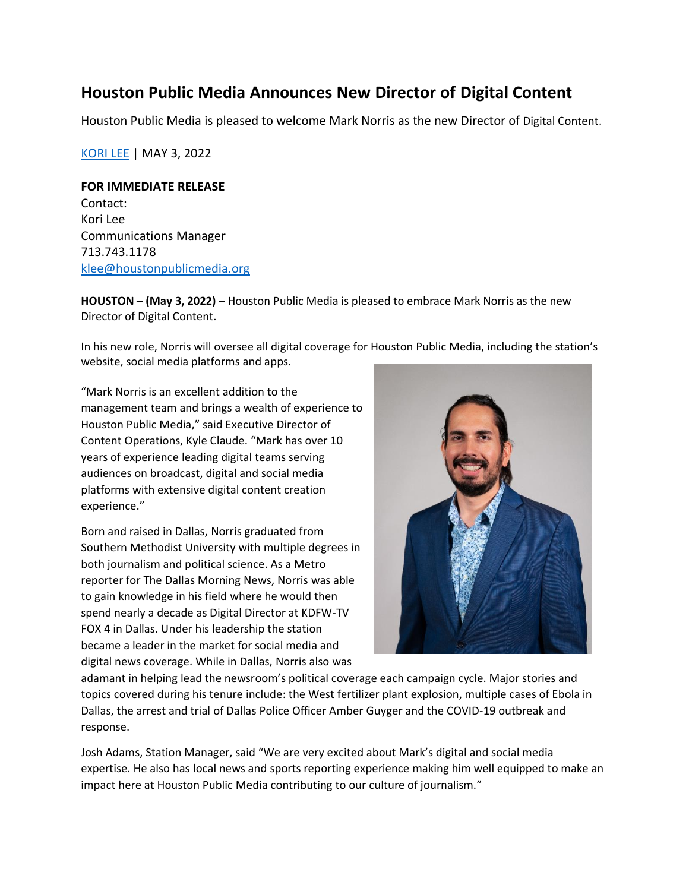## **Houston Public Media Announces New Director of Digital Content**

Houston Public Media is pleased to welcome Mark Norris as the new Director of Digital Content.

[KORI](https://www.houstonpublicmedia.org/staff/kori-lee/) LEE | MAY 3, 2022

## **FOR IMMEDIATE RELEASE**

Contact: Kori Lee Communications Manager 713.743.1178 [klee@houstonpublicmedia.org](mailto:klee@houstonpublicmedia.org)

**HOUSTON – (May 3, 2022)** – Houston Public Media is pleased to embrace Mark Norris as the new Director of Digital Content.

In his new role, Norris will oversee all digital coverage for Houston Public Media, including the station's website, social media platforms and apps.

"Mark Norris is an excellent addition to the management team and brings a wealth of experience to Houston Public Media," said Executive Director of Content Operations, Kyle Claude. "Mark has over 10 years of experience leading digital teams serving audiences on broadcast, digital and social media platforms with extensive digital content creation experience."

Born and raised in Dallas, Norris graduated from Southern Methodist University with multiple degrees in both journalism and political science. As a Metro reporter for The Dallas Morning News, Norris was able to gain knowledge in his field where he would then spend nearly a decade as Digital Director at KDFW-TV FOX 4 in Dallas. Under his leadership the station became a leader in the market for social media and digital news coverage. While in Dallas, Norris also was



adamant in helping lead the newsroom's political coverage each campaign cycle. Major stories and topics covered during his tenure include: the West fertilizer plant explosion, multiple cases of Ebola in Dallas, the arrest and trial of Dallas Police Officer Amber Guyger and the COVID-19 outbreak and response.

Josh Adams, Station Manager, said "We are very excited about Mark's digital and social media expertise. He also has local news and sports reporting experience making him well equipped to make an impact here at Houston Public Media contributing to our culture of journalism."